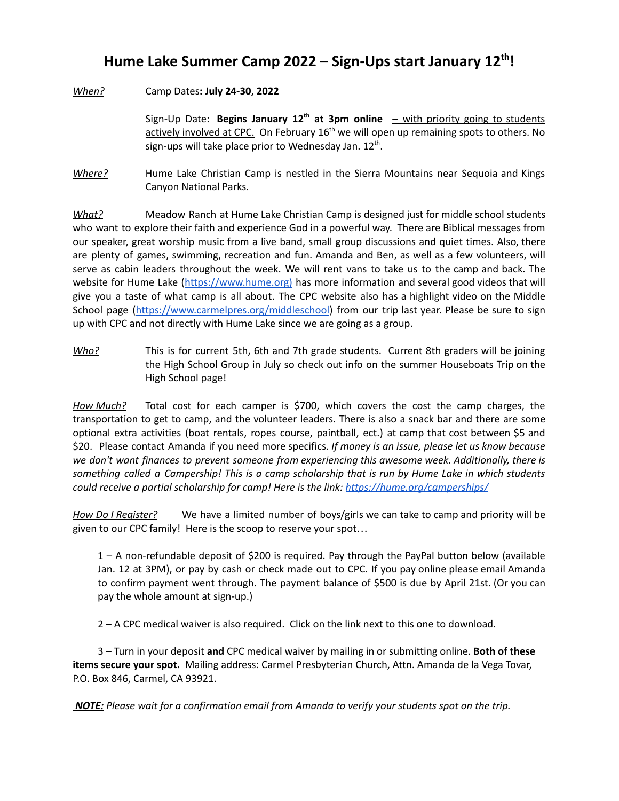## **Hume Lake Summer Camp 2022 – Sign-Ups start January 12 th !**

*When?* Camp Dates**: July 24-30, 2022**

Sign-Up Date: **Begins January 12 th at 3pm online** – with priority going to students actively involved at CPC. On February 16<sup>th</sup> we will open up remaining spots to others. No sign-ups will take place prior to Wednesday Jan. 12<sup>th</sup>.

*Where?* Hume Lake Christian Camp is nestled in the Sierra Mountains near Sequoia and Kings Canyon National Parks.

*What?* Meadow Ranch at Hume Lake Christian Camp is designed just for middle school students who want to explore their faith and experience God in a powerful way. There are Biblical messages from our speaker, great worship music from a live band, small group discussions and quiet times. Also, there are plenty of games, swimming, recreation and fun. Amanda and Ben, as well as a few volunteers, will serve as cabin leaders throughout the week. We will rent vans to take us to the camp and back. The website for Hume Lake ([https://www.hume.org\)](https://hume.org/) has more information and several good videos that will give you a taste of what camp is all about. The CPC website also has a highlight video on the Middle School page [\(https://www.carmelpres.org/middleschool\)](https://www.carmelpres.org/middleschool) from our trip last year. Please be sure to sign up with CPC and not directly with Hume Lake since we are going as a group.

*Who?* This is for current 5th, 6th and 7th grade students. Current 8th graders will be joining the High School Group in July so check out info on the summer Houseboats Trip on the High School page!

*How Much?* Total cost for each camper is \$700, which covers the cost the camp charges, the transportation to get to camp, and the volunteer leaders. There is also a snack bar and there are some optional extra activities (boat rentals, ropes course, paintball, ect.) at camp that cost between \$5 and \$20. Please contact Amanda if you need more specifics. *If money is an issue, please let us know because we don't want finances to prevent someone from experiencing this awesome week. Additionally, there is* something called a Campership! This is a camp scholarship that is run by Hume Lake in which students *could receive a partial scholarship for camp! Here is the link: <https://hume.org/camperships/>*

*How Do I Register?* We have a limited number of boys/girls we can take to camp and priority will be given to our CPC family! Here is the scoop to reserve your spot…

1 – A non-refundable deposit of \$200 is required. Pay through the PayPal button below (available Jan. 12 at 3PM), or pay by cash or check made out to CPC. If you pay online please email Amanda to confirm payment went through. The payment balance of \$500 is due by April 21st. (Or you can pay the whole amount at sign-up.)

2 – A CPC medical waiver is also required. Click on the link next to this one to download.

3 – Turn in your deposit **and** CPC medical waiver by mailing in or submitting online. **Both of these items secure your spot.** Mailing address: Carmel Presbyterian Church, Attn. Amanda de la Vega Tovar, P.O. Box 846, Carmel, CA 93921.

*NOTE: Please wait for a confirmation email from Amanda to verify your students spot on the trip.*